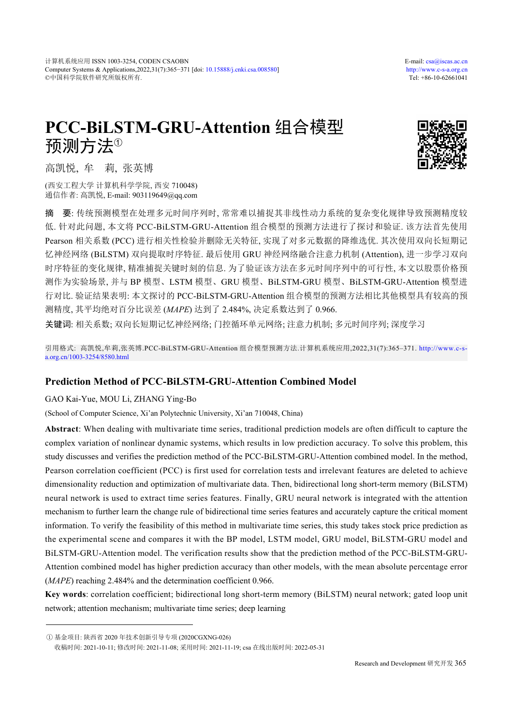# **PCC-BiLSTM-GRU-Attention** 组合模型 预测方法<sup>①</sup>



高凯悦, 牟 莉, 张英博

(西安工程大学 计算机科学学院, 西安 710048) 通信作者: 高凯悦, E-mail: 903119649@qq.com

摘 要: 传统预测模型在处理多元时间序列时, 常常难以捕捉其非线性动力系统的复杂变化规律导致预测精度较 低. 针对此问题, 本文将 PCC-BiLSTM-GRU-Attention 组合模型的预测方法进行了探讨和验证. 该方法首先使用 Pearson 相关系数 (PCC) 进行相关性检验并删除无关特征, 实现了对多元数据的降维选优. 其次使用双向长短期记 忆神经网络 (BiLSTM) 双向提取时序特征. 最后使用 GRU 神经网络融合注意力机制 (Attention), 进一步学习双向 时序特征的变化规律, 精准捕捉关键时刻的信息. 为了验证该方法在多元时间序列中的可行性, 本文以股票价格预 测作为实验场景, 并与 BP 模型、LSTM 模型、GRU 模型、BiLSTM-GRU 模型、BiLSTM-GRU-Attention 模型进 行对比. 验证结果表明: 本文探讨的 PCC-BiLSTM-GRU-Attention 组合模型的预测方法相比其他模型具有较高的预 测精度, 其平均绝对百分比误差 (*MAPE*) 达到了 2.484%, 决定系数达到了 0.966.

关键词: 相关系数; 双向长短期记忆神经网络; 门控循环单元网络; 注意力机制; 多元时间序列; 深度学习

引用格式: 高凯悦,牟莉,张英博.PCC-BiLSTM-GRU-Attention 组合模型预测方法.计算机系统应用,2022,31(7):365–371. [http://www.c-s](http://www.c-s-a.org.cn/1003-3254/8580.html)[a.org.cn/1003-3254/8580.html](http://www.c-s-a.org.cn/1003-3254/8580.html)

# **Prediction Method of PCC-BiLSTM-GRU-Attention Combined Model**

## GAO Kai-Yue, MOU Li, ZHANG Ying-Bo

(School of Computer Science, Xi'an Polytechnic University, Xi'an 710048, China)

**Abstract**: When dealing with multivariate time series, traditional prediction models are often difficult to capture the complex variation of nonlinear dynamic systems, which results in low prediction accuracy. To solve this problem, this study discusses and verifies the prediction method of the PCC-BiLSTM-GRU-Attention combined model. In the method, Pearson correlation coefficient (PCC) is first used for correlation tests and irrelevant features are deleted to achieve dimensionality reduction and optimization of multivariate data. Then, bidirectional long short-term memory (BiLSTM) neural network is used to extract time series features. Finally, GRU neural network is integrated with the attention mechanism to further learn the change rule of bidirectional time series features and accurately capture the critical moment information. To verify the feasibility of this method in multivariate time series, this study takes stock price prediction as the experimental scene and compares it with the BP model, LSTM model, GRU model, BiLSTM-GRU model and BiLSTM-GRU-Attention model. The verification results show that the prediction method of the PCC-BiLSTM-GRU-Attention combined model has higher prediction accuracy than other models, with the mean absolute percentage error (*MAPE*) reaching 2.484% and the determination coefficient 0.966.

**Key words**: correlation coefficient; bidirectional long short-term memory (BiLSTM) neural network; gated loop unit network; attention mechanism; multivariate time series; deep learning

① 基金项目: 陕西省 2020 年技术创新引导专项 (2020CGXNG-026)

收稿时间: 2021-10-11; 修改时间: 2021-11-08; 采用时间: 2021-11-19; csa 在线出版时间: 2022-05-31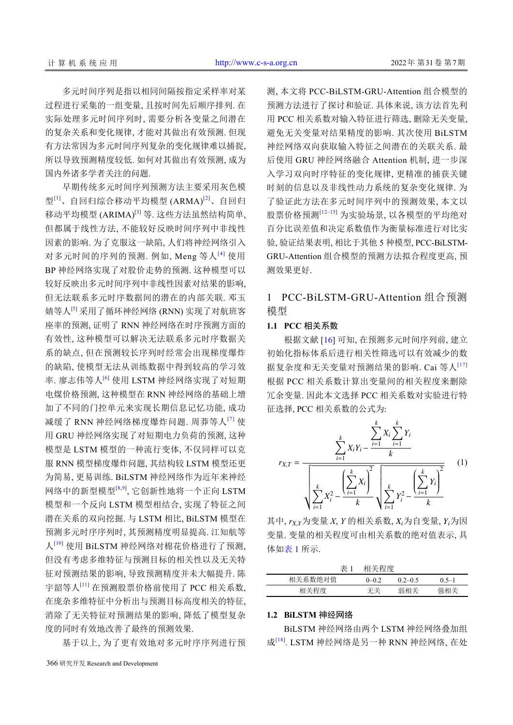多元时间序列是指以相同间隔按指定采样率对某 过程进行采集的一组变量, 且按时间先后顺序排列. 在 实际处理多元时间序列时, 需要分析各变量之间潜在 的复杂关系和变化规律, 才能对其做出有效预测. 但现 有方法常因为多元时间序列复杂的变化规律难以捕捉, 所以导致预测精度较低. 如何对其做出有效预测, 成为 国内外诸多学者关注的问题.

早期传统多元时间序列预测方法主要采用灰色模 型<sup>[[1](#page-5-0)]</sup>、自回归综合移动平均模型 (ARMA)<sup>[\[2](#page-5-1)]</sup>、自回归 移动平均模型 (ARIMA)<sup>[\[3\]](#page-5-2)</sup> 等. 这些方法虽然结构简单, 但都属于线性方法, 不能较好反映时间序列中非线性 因素的影响. 为了克服这一缺陷, 人们将神经网络引入 对多元时间的序列的预测. 例如, Meng 等人[[4](#page-6-0)] 使用 BP 神经网络实现了对股价走势的预测. 这种模型可以 较好反映出多元时间序列中非线性因素对结果的影响, 但无法联系多元时序数据间的潜在的内部关联. 邓玉 婧等人[\[5\]](#page-6-1) 采用了循环神经网络 (RNN) 实现了对航班客 座率的预测, 证明了 RNN 神经网络在时序预测方面的 有效性, 这种模型可以解决无法联系多元时序数据关 系的缺点, 但在预测较长序列时经常会出现梯度爆炸 的缺陷, 使模型无法从训练数据中得到较高的学习效 率. 廖志伟等人<sup>[[6](#page-6-2)]</sup> 使用 LSTM 神经网络实现了对短期 电煤价格预测, 这种模型在 RNN 神经网络的基础上增 加了不同的门控单元来实现长期信息记忆功能, 成功 减缓了 RNN 神经网络梯度爆炸问题. 周莽等人[[7](#page-6-3)] 使 用 GRU 神经网络实现了对短期电力负荷的预测, 这种 模型是 LSTM 模型的一种流行变体, 不仅同样可以克 服 RNN 模型梯度爆炸问题, 其结构较 LSTM 模型还更 为简易, 更易训练. BiLSTM 神经网络作为近年来神经 网络中的新型模型[[8,](#page-6-4)[9](#page-6-5)], 它创新性地将一个正向 LSTM 模型和一个反向 LSTM 模型相结合, 实现了特征之间 潜在关系的双向挖掘. 与 LSTM 相比, BiLSTM 模型在 预测多元时序序列时, 其预测精度明显提高. 江知航等 人[[10](#page-6-6)] 使用 BiLSTM 神经网络对棉花价格进行了预测, 但没有考虑多维特征与预测目标的相关性以及无关特 征对预测结果的影响, 导致预测精度并未大幅提升. 陈 宇韶等人[[11](#page-6-7)] 在预测股票价格前使用了 PCC 相关系数, 在庞杂多维特征中分析出与预测目标高度相关的特征, 消除了无关特征对预测结果的影响, 降低了模型复杂 度的同时有效地改善了最终的预测效果.

基于以上, 为了更有效地对多元时序序列进行预

测, 本文将 PCC-BiLSTM-GRU-Attention 组合模型的 预测方法进行了探讨和验证. 具体来说, 该方法首先利 用 PCC 相关系数对输入特征进行筛选, 删除无关变量, 避免无关变量对结果精度的影响. 其次使用 BiLSTM 神经网络双向获取输入特征之间潜在的关联关系. 最 后使用 GRU 神经网络融合 Attention 机制, 进一步深 入学习双向时序特征的变化规律, 更精准的捕获关键 时刻的信息以及非线性动力系统的复杂变化规律. 为 了验证此方法在多元时间序列中的预测效果, 本文以 股票价格预测[\[12–](#page-6-8)[15\]](#page-6-9) 为实验场景, 以各模型的平均绝对 百分比误差值和决定系数值作为衡量标准进行对比实 验, 验证结果表明, 相比于其他 5 种模型, PCC-BiLSTM-GRU-Attention 组合模型的预测方法拟合程度更高, 预 测效果更好.

# 1 PCC-BiLSTM-GRU-Attention 组合预测 模型

## **1.1 PCC** 相关系数

根据文献 [[16\]](#page-6-10) 可知, 在预测多元时间序列前, 建立 初始化指标体系后进行相关性筛选可以有效减少的数 据复杂度和无关变量对预测结果的影响. Cai 等人<sup>[\[17](#page-6-11)]</sup> 根据 PCC 相关系数计算出变量间的相关程度来删除 冗余变量. 因此本文选择 PCC 相关系数对实验进行特 征选择, PCC 相关系数的公式为:



其中,  $r_{X,Y}$ 为变量 *X*, *Y* 的相关系数, *X*<sub>i</sub>为自变量, *Y*<sub>i</sub>为因 变量. 变量的相关程度可由相关系数的绝对值表示, 具 体如[表](#page-1-0) [1](#page-1-0) 所示.

<span id="page-1-0"></span>

| 表 1     | 相关程度      |             |        |
|---------|-----------|-------------|--------|
| 相关系数绝对值 | $0 - 0.2$ | $0.2 - 0.5$ | $05-1$ |
| 相关程度    | 无关        | 弱相关         | 强相关    |

## **1.2 BiLSTM** 神经网络

BiLSTM 神经网络由两个 LSTM 神经网络叠加组 成<sup>[\[18\]](#page-6-12)</sup>. LSTM 神经网络是另一种 RNN 神经网络, 在处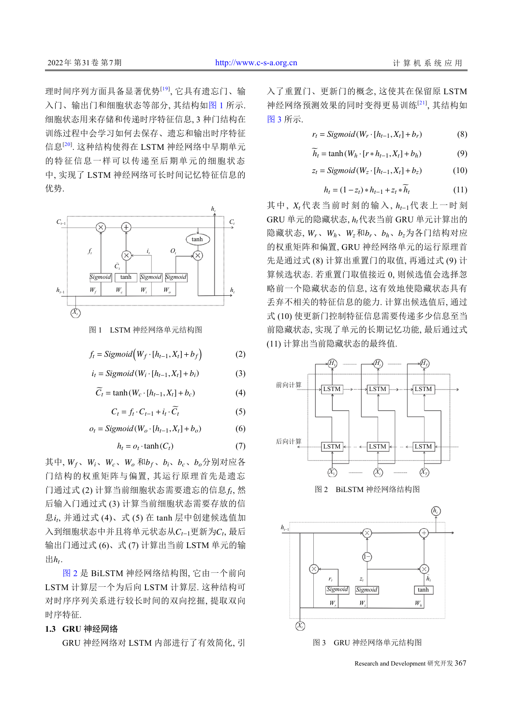理时间序列方面具备显著优势<sup>[\[19](#page-6-13)]</sup>, 它具有遗忘门、输 入门、输出门和细胞状态等部分, 其结构如[图](#page-2-0) [1](#page-2-0) 所示. 细胞状态用来存储和传递时序特征信息, 3 种门结构在 训练过程中会学习如何去保存、遗忘和输出时序特征 信息<sup>[[20](#page-6-14)]</sup>. 这种结构使得在 LSTM 神经网络中早期单元 的特征信息一样可以传递至后期单元的细胞状态 中, 实现了 LSTM 神经网络可长时间记忆特征信息的 优势.



<span id="page-2-0"></span>图 1 LSTM 神经网络单元结构图

$$
f_t = Sigmoid(W_f \cdot [h_{t-1}, X_t] + b_f)
$$
 (2)

$$
i_t = Sigmoid(W_i \cdot [h_{t-1}, X_t] + b_i)
$$
 (3)

$$
\widetilde{C}_t = \tanh(W_c \cdot [h_{t-1}, X_t] + b_c)
$$
\n(4)

$$
C_t = f_t \cdot C_{t-1} + i_t \cdot \widetilde{C}_t \tag{5}
$$

$$
o_t = Sigmoid(W_o \cdot [h_{t-1}, X_t] + b_o)
$$
 (6)

 $h_t = o_t \cdot \tanh(C_t)$  (7)

其中,  $W_f$ 、 $W_i$ 、 $W_c$ 、 $W_o$  和 $b_f$ 、 $b_i$ 、 $b_c$ 、 $b_o$ 分别对应各 门通过式 (2) 计算当前细胞状态需要遗忘的信息 f, 然 息i<sub>t</sub>, 并通过式 (4)、式 (5) 在 tanh 层中创建候选值加 入到细胞状态中并且将单元状态从 $C_{t-1}$ 更新为 $C_t$ , 最后  $\mathop{\boxplus} h$ <sub>t</sub>. 门结构的权重矩阵与偏置, 其运行原理首先是遗忘 后输入门通过式 (3) 计算当前细胞状态需要存放的信 输出门通过式 (6)、式 (7) 计算出当前 LSTM 单元的输

[图](#page-2-1) [2](#page-2-1) 是 BiLSTM 神经网络结构图, 它由一个前向 LSTM 计算层一个为后向 LSTM 计算层. 这种结构可 对时序序列关系进行较长时间的双向挖掘, 提取双向 时序特征.

## **1.3 GRU** 神经网络

GRU 神经网络对 LSTM 内部进行了有效简化, 引

入了重置门、更新门的概念, 这使其在保留原 LSTM 神经网络预测效果的同时变得更易训练[[21\]](#page-6-15) , 其结构如 [图](#page-2-2) [3](#page-2-2) 所示.

$$
r_t = Sigmoid(W_r \cdot [h_{t-1}, X_t] + b_r)
$$
 (8)

$$
\widetilde{h}_t = \tanh(W_h \cdot [r * h_{t-1}, X_t] + b_h)
$$
\n<sup>(9)</sup>

$$
z_t = Sigmoid(W_z \cdot [h_{t-1}, X_t] + b_z)
$$
 (10)

$$
h_t = (1 - z_t) * h_{t-1} + z_t * \widetilde{h}_t \tag{11}
$$

其中,  $X_t$ 代表当前时刻的输入,  $h_{t-1}$ 代表上一时刻  $\,$ GRU 单元的隐藏状态,  $h_t$ 代表当前 GRU 单元计算出的 隐藏状态,  $W_r$ 、 $W_h$ 、 $W_z$ 和 $b_r$ 、 $b_h$ 、 $b_z$ 为各门结构对应 的权重矩阵和偏置, GRU 神经网络单元的运行原理首 先是通过式 (8) 计算出重置门的取值, 再通过式 (9) 计 算候选状态. 若重置门取值接近 0, 则候选值会选择忽 略前一个隐藏状态的信息, 这有效地使隐藏状态具有 丢弃不相关的特征信息的能力. 计算出候选值后, 通过 式 (10) 使更新门控制特征信息需要传递多少信息至当 前隐藏状态, 实现了单元的长期记忆功能, 最后通过式 (11) 计算出当前隐藏状态的最终值.

<span id="page-2-1"></span>

<span id="page-2-2"></span>Research and Development 研究开发 367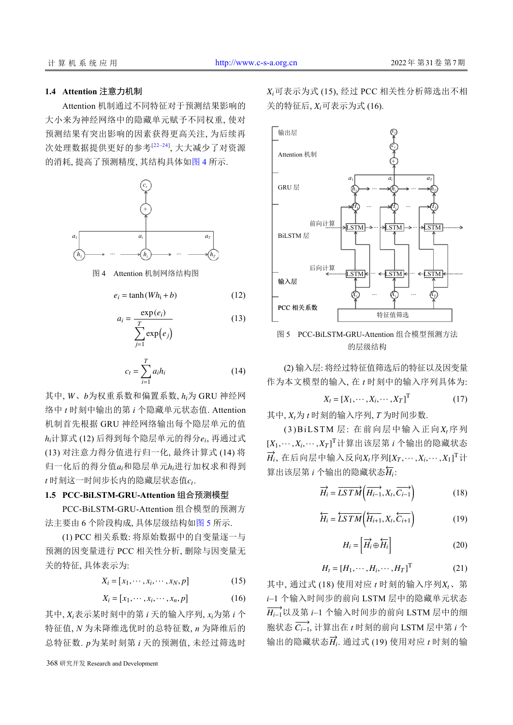## **1.4 Attention** 注意力机制

Attention 机制通过不同特征对于预测结果影响的 大小来为神经网络中的隐藏单元赋予不同权重, 使对 预测结果有突出影响的因素获得更高关注, 为后续再 次处理数据提供更好的参考<sup>[[22](#page-6-16)[–24](#page-6-17)]</sup>, 大大减少了对资源 的消耗, 提高了预测精度, 其结构具体[如图](#page-3-0) [4](#page-3-0) 所示.



<span id="page-3-0"></span>图 4 Attention 机制网络结构图

 $e_i = \tanh(Wh_i + b)$  (12)

$$
a_i = \frac{\exp(e_i)}{\sum_{j=1}^{T} \exp(e_j)}
$$
(13)

$$
c_t = \sum_{i=1}^{T} a_i h_i \tag{14}
$$

其中, W、b为权重系数和偏置系数, h<sub>i</sub>为 GRU 神经网  $h_i$ 计算式 (12) 后得到每个隐层单元的得分 $e_i$ , 再通过式 归一化后的得分值a<sub>i</sub>和隐层单元h<sub>i</sub>进行加权求和得到  $t$  时刻这一时间步长内的隐藏层状态值 $c_t$ . 络中 *t* 时刻中输出的第 *i* 个隐藏单元状态值. Attention 机制首先根据 GRU 神经网络输出每个隐层单元的值 (13) 对注意力得分值进行归一化, 最终计算式 (14) 将

#### **1.5 PCC-BiLSTM-GRU-Attention** 组合预测模型

PCC-BiLSTM-GRU-Attention 组合[模型的](#page-3-1)预测方 法主要由 6 个阶段构成, 具体层级结构[如图](#page-3-1) [5](#page-3-1) 所示.

(1) PCC 相关系数: 将原始数据中的自变量逐一与 预测的因变量进行 PCC 相关性分析, 删除与因变量无 关的特征, 具体表示为:

$$
X_i = [x_1, \cdots, x_i, \cdots, x_N, p] \tag{15}
$$

$$
X_i = [x_1, \cdots, x_i, \cdots, x_n, p] \tag{16}
$$

其中,  $X_i$ 表示某时刻中的第 *i* 天的输入序列,  $x_i$ 为第 *i* 个 总特征数. p为某时刻第 *i* 天的预测值, 未经过筛选时 特征值, *N* 为未降维选优时的总特征数, *n* 为降维后的

368 研究开发 Research and Development

*Xi* 可表示为式 (15), 经过 PCC 相关性分析筛选出不相 关的特征后,  $X_i$ 可表示为式 (16).



<span id="page-3-1"></span>图 5 PCC-BiLSTM-GRU-Attention 组合模型预测方法 的层级结构

(2) 输入层: 将经过特征值筛选后的特征以及因变量 作为本文模型的输入, 在 *t* 时刻中的输入序列具体为:

$$
X_t = [X_1, \cdots, X_i, \cdots, X_T]^T
$$
 (17)

其中,  $X_t$ 为  $t$  时刻的输入序列,  $T$  为时间步数.

 $(3)$ BiLSTM 层: 在前向层中输入正向 $X_t$ 序列 [*X*1,··· ,*X<sup>i</sup>* ,··· ,*X<sup>T</sup>* ] T 计算出该层第 *i* 个输出的隐藏状态  $\overrightarrow{H_i}$ , 在后向层中输入反向X<sub>t</sub>序列[X<sub>T</sub>,…,X<sub>i</sub>,…,X<sub>1</sub>]T计  $\hat{H}_i$ :  $\hat{H}_i$  and  $\hat{H}_i$  and  $\hat{H}_i$  if  $\hat{H}_i$ 

$$
\overrightarrow{H_i} = \overrightarrow{LSTM}\left(\overrightarrow{H_{i-1}}, X_t, \overrightarrow{C_{i-1}}\right)
$$
 (18)

$$
\overleftarrow{H_i} = \overleftarrow{LSTM}\left(\overleftarrow{H_{i+1}}, X_t, \overleftarrow{C_{i+1}}\right) \tag{19}
$$

$$
H_i = \left[ \overrightarrow{H_i} \oplus \overleftarrow{H_i} \right] \tag{20}
$$

$$
H_t = [H_1, \cdots, H_i, \cdots, H_T]^{\mathrm{T}}
$$
 (21)

其中, 通过式 (18) 使用对应 *t* 时刻的输入序列  $X_t$ 、第  $\overrightarrow{H_{i-1}}$ 以及第 *i–*1 个输入时间步的前向 LSTM 层中的细 胞状态  $\overrightarrow{C_{i-1}}$ , 计算出在 *t* 时刻的前向 LSTM 层中第 *i* 个  $\hat{m}$ 出的隐藏状态 $\overrightarrow{H}_i$ . 通过式 (19) 使用对应 *t* 时刻的输 *i*–1 个输入时间步的前向 LSTM 层中的隐藏单元状态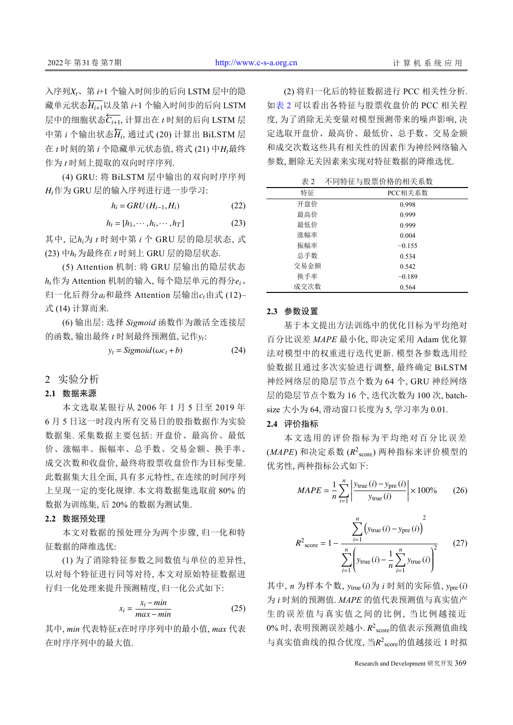$\lambda$ 序列 $X_t$ 、第  $t$ +1 个输入时间步的后向 LSTM 层中的隐 藏单元状态h, ii | 以及第 *i*+1 个输入时间步的后向 LSTM 层中的细胞状态 $\overleftarrow{C_{i+1}},$  计算出在 *t* 时刻的后向 LSTM 层 中第 *i* 个输出状态h, 通过式 (20) 计算出 BiLSTM 层 在 *t* 时刻的第 *i* 个隐藏单元状态值, 将式 (21) 中*H*<sub>r</sub>最终 作为 *t* 时刻上提取的双向时序序列.

*Ht* 作为 GRU 层的输入序列进行进一步学习: (4) GRU: 将 BiLSTM 层中输出的双向时序序列

$$
h_i = GRU(H_{i-1}, H_i)
$$
 (22)

$$
h_t = [h_1, \cdots, h_i, \cdots, h_T]
$$
 (23)

其中, 记h<sub>i</sub>为 t 时刻中第 i 个 GRU 层的隐层状态, 式 (23) 中 $h_t$ 为最终在  $t$  时刻上 GRU 层的隐层状态.

 $h_t$ 作为 Attention 机制的输入, 每个隐层单元的得分 $e_i$ 、 归一化后得分 $a_i$ 和最终 Attention 层输出 $c_t$ 由式 (12)– (5) Attention 机制: 将 GRU 层输出的隐层状态 式 (14) 计算而来.

的函数, 输出最终  $t$  时刻最终预测值, 记作y<sub>t</sub>: (6) 输出层: 选择 *Sigmoid* 函数作为激活全连接层

$$
y_t = Sigmoid(\omega c_t + b)
$$
 (24)

#### 2 实验分析

#### **2.1** 数据来源

本文选取某银行从 2006 年 1 月 5 日至 2019 年 6 月 5 日这一时段内所有交易日的股指数据作为实验 数据集. 采集数据主要包括: 开盘价、最高价、最低 价、涨幅率、振幅率、总手数、交易金额、换手率、 成交次数和收盘价, 最终将股票收盘价作为目标变量. 此数据集大且全面, 具有多元特性, 在连续的时间序列 上呈现一定的变化规律. 本文将数据集选取前 80% 的 数据为训练集, 后 20% 的数据为测试集.

#### **2.2** 数据预处理

本文对数据的预处理分为两个步骤, 归一化和特 征数据的降维选优:

(1) 为了消除特征参数之间数值与单位的差异性, 以对每个特征进行同等对待, 本文对原始特征数据进 行归一化处理来提升预测精度, 归一化公式如下:

$$
x_i = \frac{x_i - \min}{\max - \min} \tag{25}
$$

其中, *min* 代表特征*x*在时序序列中的最小值, *max* 代表 在时序序列中的最大值.

(2) 将归一化后的特征数据进行 PCC 相关性分析. 如[表](#page-4-0) [2](#page-4-0) 可以看出各特征与股票收盘价的 PCC 相关程 度, 为了消除无关变量对模型预测带来的噪声影响, 决 定选取开盘价、最高价、最低价、总手数、交易金额 和成交次数这些具有相关性的因素作为神经网络输入 参数, 删除无关因素来实现对特征数据的降维选优.

<span id="page-4-0"></span>

| 表 2  | 不同特征与股票价格的相关系数 |
|------|----------------|
| 特征   | PCC相关系数        |
| 开盘价  | 0.998          |
| 最高价  | 0.999          |
| 最低价  | 0.999          |
| 涨幅率  | 0.004          |
| 振幅率  | $-0.155$       |
| 总手数  | 0.534          |
| 交易金额 | 0.542          |
| 换手率  | $-0.189$       |
| 成交次数 | 0.564          |

#### **2.3** 参数设置

基于本文提出方法训练中的优化目标为平均绝对 百分比误差 *MAPE* 最小化, 即决定采用 Adam 优化算 法对模型中的权重进行迭代更新. 模型各参数选用经 验数据且通过多次实验进行调整, 最终确定 BiLSTM 神经网络层的隐层节点个数为 64 个, GRU 神经网络 层的隐层节点个数为 16 个, 迭代次数为 100 次, batchsize 大小为 64, 滑动窗口长度为 5, 学习率为 0.01.

#### **2.4** 评价指标

(*MAPE*) 和决定系数 ( $R^2$ <sub>score</sub>) 两种指标来评价模型的 本文选用的评价指标为平均绝对百分比误差 优劣性, 两种指标公式如下:

$$
MAPE = \frac{1}{n} \sum_{i=1}^{n} \left| \frac{y_{\text{true}}(i) - y_{\text{pre}}(i)}{y_{\text{true}}(i)} \right| \times 100\% \qquad (26)
$$

$$
R^{2}_{\text{score}} = 1 - \frac{\sum_{i=1}^{n} (y_{\text{true}}(i) - y_{\text{pre}}(i))^{2}}{\sum_{i=1}^{n} \left( y_{\text{true}}(i) - \frac{1}{n} \sum_{i=1}^{n} y_{\text{true}}(i) \right)^{2}}
$$
(27)

其中, *n* 为样本个数, y<sub>true</sub>(*i*)为 *i* 时刻的实际值, y<sub>pre</sub>(*i*)  $0$ % 时, 表明预测误差越小.  $R^2$ score的值表示预测值曲线 与真实值曲线的拟合优度, 当 $R^2$ score的值越接近 1 时拟 为 *i* 时刻的预测值. *MAPE* 的值代表预测值与真实值产 生的误差值与真实值之间的比例, 当比例越接近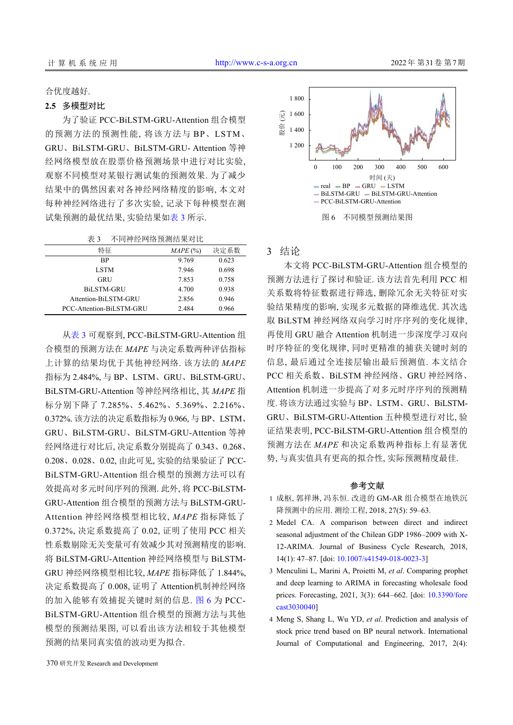#### 合优度越好.

#### **2.5** 多模型对比

为了验证 PCC-BiLSTM-GRU-Attention 组合模型 的预测方法的预测性能, 将该方法与 BP、LSTM、 GRU、BiLSTM-GRU、BiLSTM-GRU- Attention 等神 经网络模型放在股票价格预测场景中进行对比实验, 观察不同模型对某银行测试集的预测效果. 为了减少 结果中的偶然因素对各神经网络精度的影响, 本文对 每种神经网络进行了多次实验, 记录下每种模型在测 试集预测的最优结果, 实验结果[如表](#page-5-3) [3](#page-5-3) 所示.

<span id="page-5-3"></span>表 3 不同神经网络预测结果对比

| 特征                       | $MAPE$ $(\%)$ | 决定系数  |
|--------------------------|---------------|-------|
| <b>BP</b>                | 9.769         | 0.623 |
| <b>LSTM</b>              | 7.946         | 0.698 |
| GRU                      | 7.853         | 0.758 |
| <b>BiLSTM-GRU</b>        | 4.700         | 0.938 |
| Attention-BiLSTM-GRU     | 2.856         | 0.946 |
| PCC-Attention-BiLSTM-GRU | 2.484         | 0.966 |

[从表](#page-5-3) [3](#page-5-3) 可观察到, PCC-BiLSTM-GRU-Attention 组 合模型的预测方法在 *MAPE* 与决定系数两种评估指标 上计算的结果均优于其他神经网络. 该方法的 *MAPE* 指标为 2.484%, 与 BP、LSTM、GRU、BiLSTM-GRU、 BiLSTM-GRU-Attention 等神经网络相比, 其 *MAPE* 指 标分别下降了 7.285%、5.462%、5.369%、2.216%、 0.372%. 该方法的决定系数指标为 0.966, 与 BP、LSTM、 GRU、BiLSTM-GRU、BiLSTM-GRU-Attention 等神 经网络进行对比后, 决定系数分别提高了 0.343、0.268、 0.208、0.028、0.02, 由此可见, 实验的结果验证了 PCC-BiLSTM-GRU-Attention 组合模型的预测方法可以有 效提高对多元时间序列的预测. 此外, 将 PCC-BiLSTM-GRU-Attention 组合模型的预测方法与 BiLSTM-GRU-Attention 神经网络模型相比较, *MAPE* 指标降低了 0.372%, 决定系数提高了 0.02, 证明了使用 PCC 相关 性系数剔除无关变量可有效减少其对预测精度的影响. 将 BiLSTM-GRU-Attention 神经网络模型与 BiLSTM-GRU 神经网络模型相比较, *MAPE* 指标降低了 1.844%, 决定系数提高了 0.008, 证明了 Attention[机制神](#page-5-4)经网络 的加入能够有效捕捉关键时刻的信息. [图](#page-5-4) [6](#page-5-4) 为 PCC-BiLSTM-GRU-Attention 组合模型的预测方法与其他 模型的预测结果图, 可以看出该方法相较于其他模型 预测的结果同真实值的波动更为拟合.



# <span id="page-5-4"></span>3 结论

本文将 PCC-BiLSTM-GRU-Attention 组合模型的 预测方法进行了探讨和验证. 该方法首先利用 PCC 相 关系数将特征数据进行筛选, 删除冗余无关特征对实 验结果精度的影响, 实现多元数据的降维选优. 其次选 取 BiLSTM 神经网络双向学习时序序列的变化规律, 再使用 GRU 融合 Attention 机制进一步深度学习双向 时序特征的变化规律, 同时更精准的捕获关键时刻的 信息, 最后通过全连接层输出最后预测值. 本文结合 PCC 相关系数、BiLSTM 神经网络、GRU 神经网络、 Attention 机制进一步提高了对多元时序序列的预测精 度. 将该方法通过实验与 BP、LSTM、GRU、BiLSTM-GRU、BiLSTM-GRU-Attention 五种模型进行对比, 验 证结果表明, PCC-BiLSTM-GRU-Attention 组合模型的 预测方法在 *MAPE* 和决定系数两种指标上有显著优 势, 与真实值具有更高的拟合性, 实际预测精度最佳.

#### <span id="page-5-0"></span>参考文献

- 成枢, 郭祥琳, 冯东恒. 改进的 GM-AR 组合模型在地铁沉 1 降预测中的应用. 测绘工程, 2018, 27(5): 59–63.
- 2 Medel CA. A comparison between direct and indirect seasonal adjustment of the Chilean GDP 1986–2009 with X-12-ARIMA. Journal of Business Cycle Research, 2018, 14(1): 47–87. [doi: [10.1007/s41549-018-0023-3\]](http://dx.doi.org/10.1007/s41549-018-0023-3)
- <span id="page-5-2"></span><span id="page-5-1"></span>Menculini L, Marini A, Proietti M, *et al*. Comparing prophet 3 and deep learning to ARIMA in forecasting wholesale food prices. Forecasting, 2021, 3(3): 644–662. [doi: [10.3390/fore](http://dx.doi.org/10.3390/forecast3030040) [cast3030040](http://dx.doi.org/10.3390/forecast3030040)]
- 4 Meng S, Shang L, Wu YD, et al. Prediction and analysis of stock price trend based on BP neural network. International Journal of Computational and Engineering, 2017, 2(4):